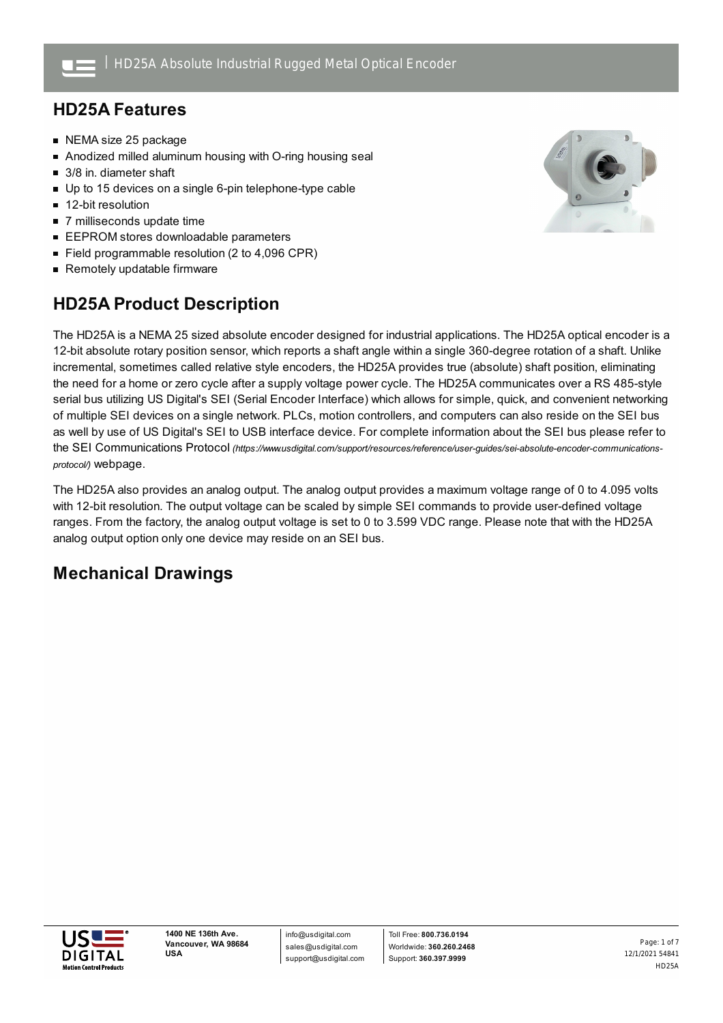## **HD25A Features**

- NEMA size 25 package
- Anodized milled aluminum housing with O-ring housing seal
- 3/8 in. diameter shaft
- Up to 15 devices on a single 6-pin telephone-type cable
- 12-bit resolution
- 7 milliseconds update time
- **EEPROM stores downloadable parameters**
- $\blacksquare$ Field programmable resolution (2 to 4,096 CPR)
- Remotely updatable firmware

## **HD25A Product Description**



The HD25A is a NEMA 25 sized absolute encoder designed for industrial applications. The HD25A optical encoder is a 12-bit absolute rotary position sensor, which reports a shaft angle within a single 360-degree rotation of a shaft. Unlike incremental, sometimes called relative style encoders, the HD25A provides true (absolute) shaft position, eliminating the need for a home or zero cycle after a supply voltage power cycle. The HD25A communicates over a RS 485-style serial bus utilizing US Digital's SEI (Serial Encoder Interface) which allows for simple, quick, and convenient networking of multiple SEI devices on a single network. PLCs, motion controllers, and computers can also reside on the SEI bus as well by use of US Digital's SEI to USB interface device. For complete information about the SEI bus please refer to the SEI Communications Protocol *[\(https://www.usdigital.com/support/resources/reference/user-guides/sei-absolute-encoder-communications](https://www.usdigital.com/support/resources/reference/user-guides/sei-absolute-encoder-communications-protocol/)protocol/)* webpage.

The HD25A also provides an analog output. The analog output provides a maximum voltage range of 0 to 4.095 volts with 12-bit resolution. The output voltage can be scaled by simple SEI commands to provide user-defined voltage ranges. From the factory, the analog output voltage is set to 0 to 3.599 VDC range. Please note that with the HD25A analog output option only one device may reside on an SEI bus.

## **Mechanical Drawings**

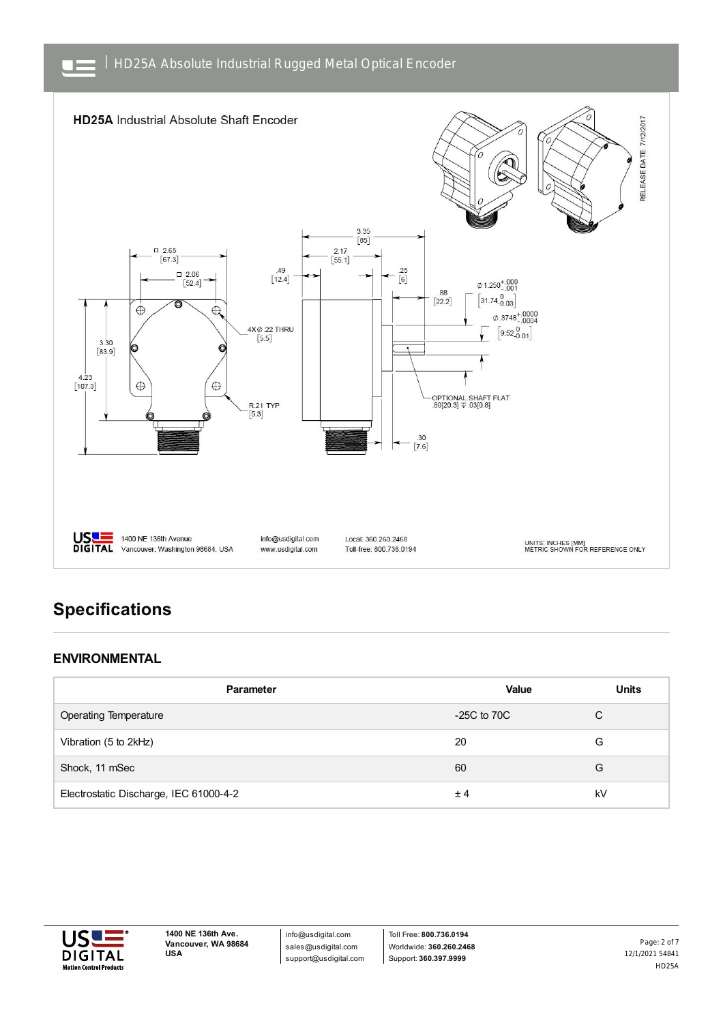

# **Specifications**

### **ENVIRONMENTAL**

| Parameter                              | Value           | <b>Units</b> |
|----------------------------------------|-----------------|--------------|
| <b>Operating Temperature</b>           | $-25C$ to $70C$ | С            |
| Vibration (5 to 2kHz)                  | 20              | G            |
| Shock, 11 mSec                         | 60              | G            |
| Electrostatic Discharge, IEC 61000-4-2 | ±4              | kV           |



info@usdigital.com sales@usdigital.com support@usdigital.com

Toll Free: **800.736.0194** Worldwide: **360.260.2468** Support: **360.397.9999**

12/1/2021 54841 HD25A Page: 2 of 7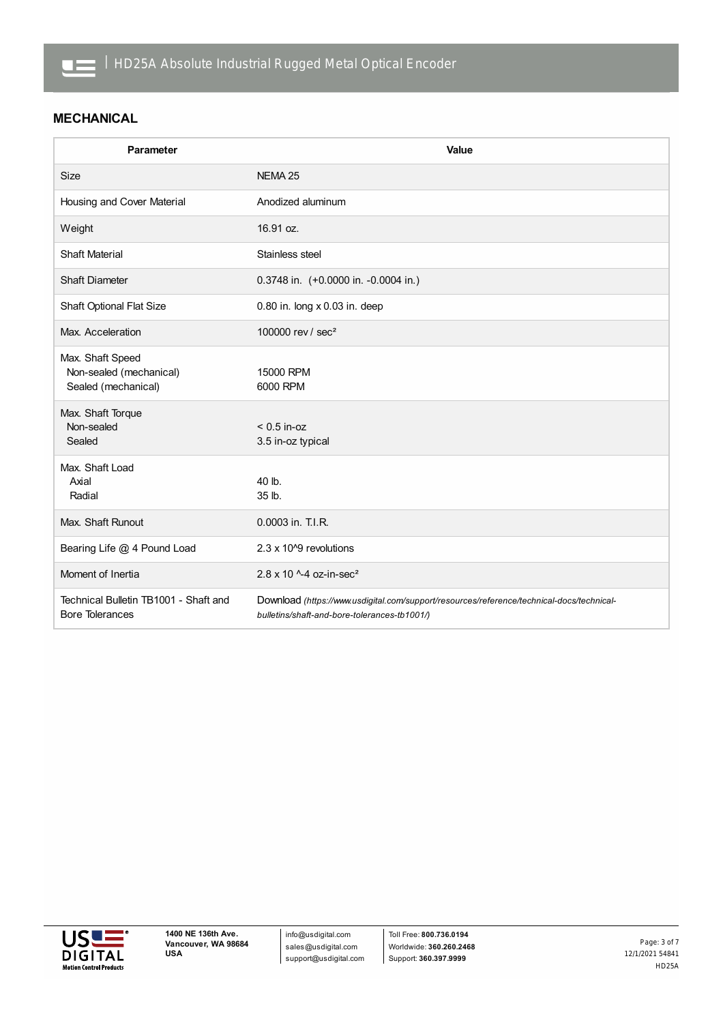

### **MECHANICAL**

| Parameter                                                          | Value                                                                                                                                     |
|--------------------------------------------------------------------|-------------------------------------------------------------------------------------------------------------------------------------------|
| <b>Size</b>                                                        | NEMA <sub>25</sub>                                                                                                                        |
| Housing and Cover Material                                         | Anodized aluminum                                                                                                                         |
| Weight                                                             | 16.91 oz.                                                                                                                                 |
| <b>Shaft Material</b>                                              | Stainless steel                                                                                                                           |
| <b>Shaft Diameter</b>                                              | 0.3748 in. (+0.0000 in. -0.0004 in.)                                                                                                      |
| <b>Shaft Optional Flat Size</b>                                    | 0.80 in. long x 0.03 in. deep                                                                                                             |
| Max. Acceleration                                                  | 100000 rev / sec <sup>2</sup>                                                                                                             |
| Max. Shaft Speed<br>Non-sealed (mechanical)<br>Sealed (mechanical) | 15000 RPM<br>6000 RPM                                                                                                                     |
| Max. Shaft Torque<br>Non-sealed<br>Sealed                          | $< 0.5$ in-oz<br>3.5 in-oz typical                                                                                                        |
| Max. Shaft Load<br>Axial<br>Radial                                 | 40 lb.<br>35 lb.                                                                                                                          |
| Max. Shaft Runout                                                  | 0.0003 in. T.I.R.                                                                                                                         |
| Bearing Life @ 4 Pound Load                                        | 2.3 x 10 <sup>o</sup> revolutions                                                                                                         |
| Moment of Inertia                                                  | $2.8 \times 10^{-4}$ oz-in-sec <sup>2</sup>                                                                                               |
| Technical Bulletin TB1001 - Shaft and<br><b>Bore Tolerances</b>    | Download (https://www.usdigital.com/support/resources/reference/technical-docs/technical-<br>bulletins/shaft-and-bore-tolerances-tb1001/) |

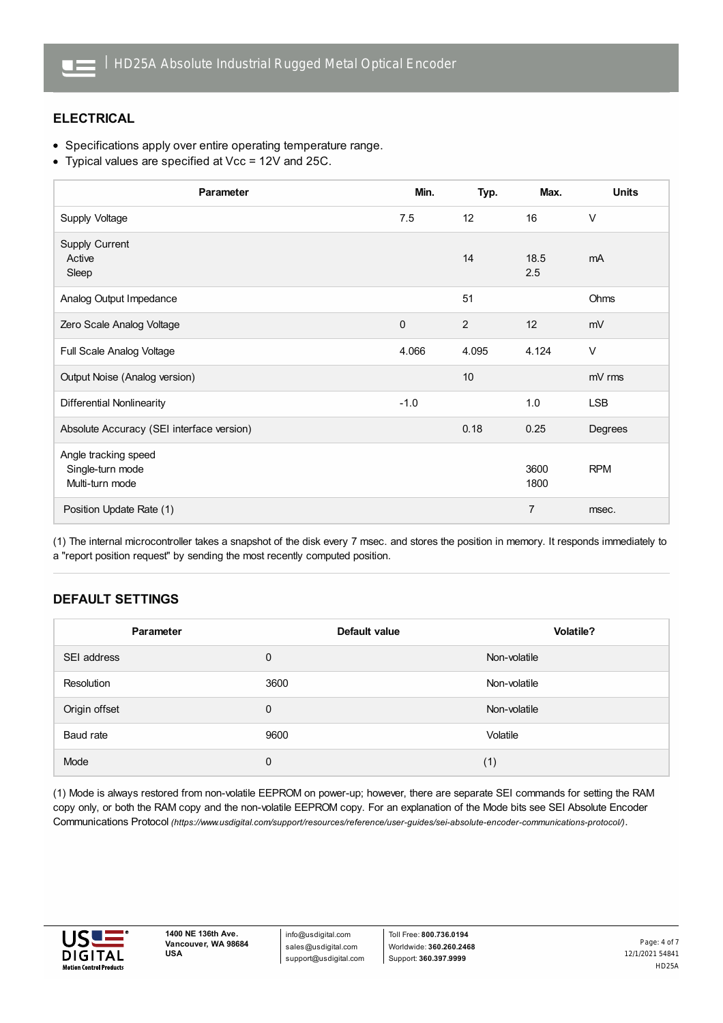

### **ELECTRICAL**

- Specifications apply over entire operating temperature range.
- Typical values are specified at Vcc = 12V and 25C.

| Parameter                                                   | Min.         | Typ.  | Max.           | <b>Units</b> |
|-------------------------------------------------------------|--------------|-------|----------------|--------------|
| Supply Voltage                                              | 7.5          | 12    | 16             | $\vee$       |
| Supply Current<br>Active<br>Sleep                           |              | 14    | 18.5<br>2.5    | mA           |
| Analog Output Impedance                                     |              | 51    |                | Ohms         |
| Zero Scale Analog Voltage                                   | $\mathbf{0}$ | 2     | 12             | mV           |
| Full Scale Analog Voltage                                   | 4.066        | 4.095 | 4.124          | $\vee$       |
| Output Noise (Analog version)                               |              | 10    |                | mV rms       |
| <b>Differential Nonlinearity</b>                            | $-1.0$       |       | 1.0            | <b>LSB</b>   |
| Absolute Accuracy (SEI interface version)                   |              | 0.18  | 0.25           | Degrees      |
| Angle tracking speed<br>Single-turn mode<br>Multi-turn mode |              |       | 3600<br>1800   | <b>RPM</b>   |
| Position Update Rate (1)                                    |              |       | $\overline{7}$ | msec.        |

(1) The internal microcontroller takes a snapshot of the disk every 7 msec. and stores the position in memory. It responds immediately to a "report position request" by sending the most recently computed position.

## **DEFAULT SETTINGS**

| Parameter     | Default value | <b>Volatile?</b> |
|---------------|---------------|------------------|
| SEI address   | $\mathbf 0$   | Non-volatile     |
| Resolution    | 3600          | Non-volatile     |
| Origin offset | 0             | Non-volatile     |
| Baud rate     | 9600          | Volatile         |
| Mode          | 0             | (1)              |

(1) Mode is always restored from non-volatile EEPROM on power-up; however, there are separate SEI commands for setting the RAM copy only, or both the RAM copy and the non-volatile EEPROM copy. For an explanation of the Mode bits see SEI Absolute Encoder Communications Protocol *[\(https://www.usdigital.com/support/resources/reference/user-guides/sei-absolute-encoder-communications-protocol/\)](https://www.usdigital.com/support/resources/reference/user-guides/sei-absolute-encoder-communications-protocol/)*.



info@usdigital.com sales@usdigital.com support@usdigital.com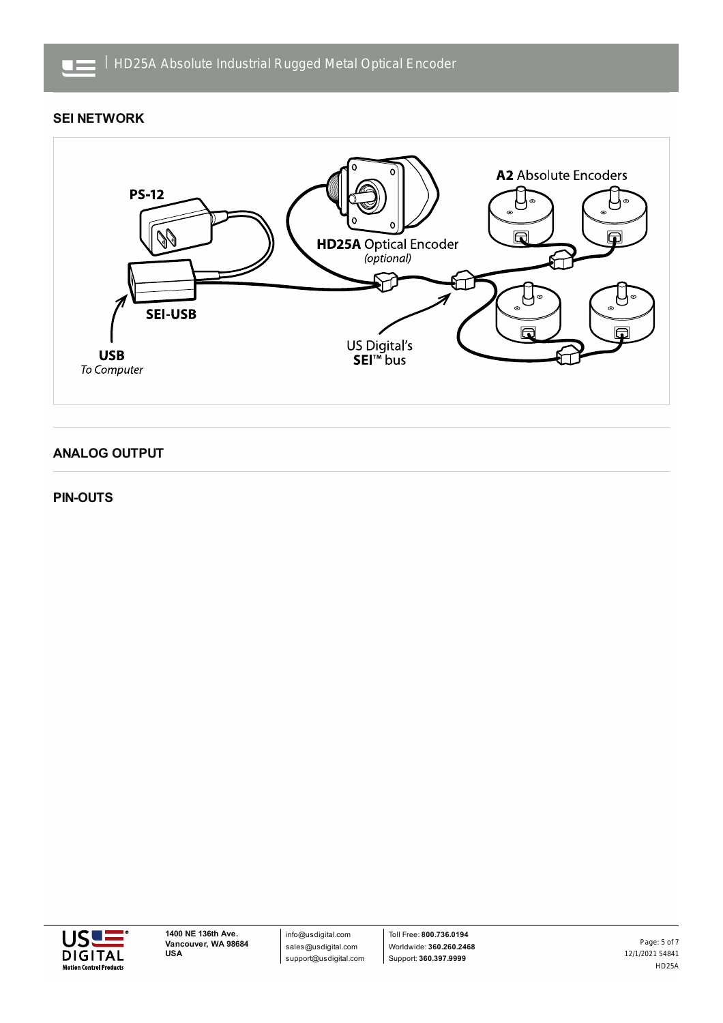

### **SEI NETWORK**



### **ANALOG OUTPUT**

#### **PIN-OUTS**

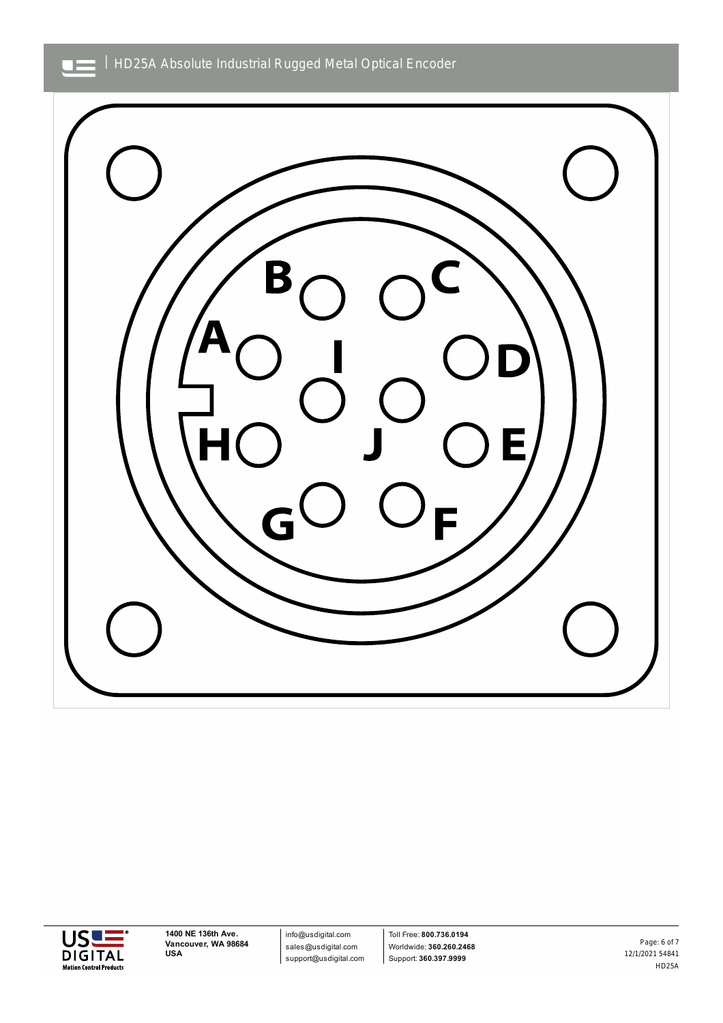| HD25A Absolute Industrial Rugged Metal Optical Encoder





**1400 NE 136th Ave. Vancouver, WA 98684 USA**

info@usdigital.com sales@usdigital.com support@usdigital.com

Toll Free: **800.736.0194** Worldwide: **360.260.2468** Support: **360.397.9999**

12/1/2021 54841 HD25A Page: 6 of 7